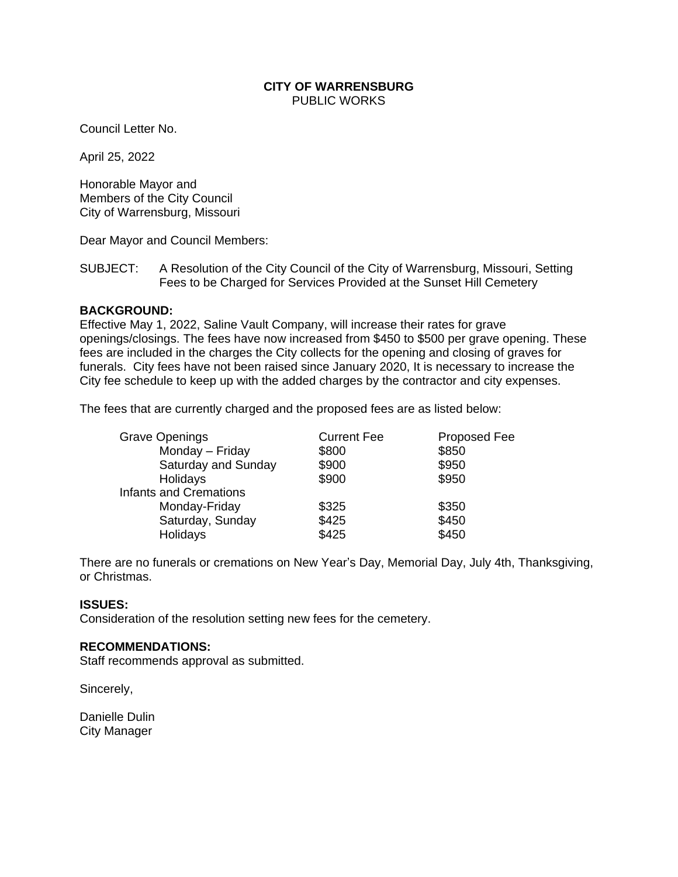## **CITY OF WARRENSBURG** PUBLIC WORKS

Council Letter No.

April 25, 2022

Honorable Mayor and Members of the City Council City of Warrensburg, Missouri

Dear Mayor and Council Members:

SUBJECT: A Resolution of the City Council of the City of Warrensburg, Missouri, Setting Fees to be Charged for Services Provided at the Sunset Hill Cemetery

## **BACKGROUND:**

Effective May 1, 2022, Saline Vault Company, will increase their rates for grave openings/closings. The fees have now increased from \$450 to \$500 per grave opening. These fees are included in the charges the City collects for the opening and closing of graves for funerals. City fees have not been raised since January 2020, It is necessary to increase the City fee schedule to keep up with the added charges by the contractor and city expenses.

The fees that are currently charged and the proposed fees are as listed below:

| <b>Grave Openings</b>         | <b>Current Fee</b> | <b>Proposed Fee</b> |
|-------------------------------|--------------------|---------------------|
| Monday - Friday               | \$800              | \$850               |
| Saturday and Sunday           | \$900              | \$950               |
| Holidays                      | \$900              | \$950               |
| <b>Infants and Cremations</b> |                    |                     |
| Monday-Friday                 | \$325              | \$350               |
| Saturday, Sunday              | \$425              | \$450               |
| Holidays                      | \$425              | \$450               |

There are no funerals or cremations on New Year's Day, Memorial Day, July 4th, Thanksgiving, or Christmas.

## **ISSUES:**

Consideration of the resolution setting new fees for the cemetery.

#### **RECOMMENDATIONS:**

Staff recommends approval as submitted.

Sincerely,

Danielle Dulin City Manager